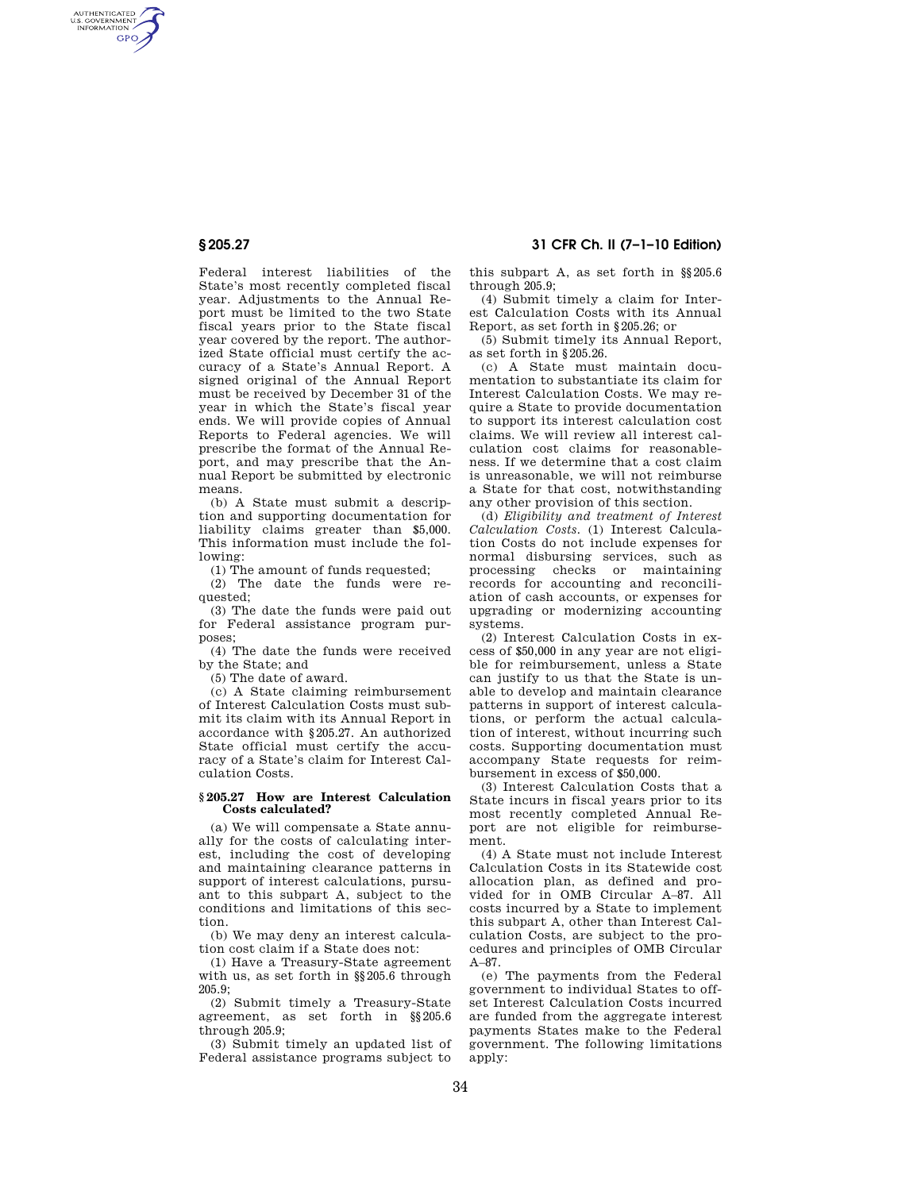Federal interest liabilities of the State's most recently completed fiscal year. Adjustments to the Annual Report must be limited to the two State fiscal years prior to the State fiscal year covered by the report. The authorized State official must certify the accuracy of a State's Annual Report. A signed original of the Annual Report must be received by December 31 of the year in which the State's fiscal year ends. We will provide copies of Annual Reports to Federal agencies. We will prescribe the format of the Annual Report, and may prescribe that the Annual Report be submitted by electronic means.

(b) A State must submit a description and supporting documentation for liability claims greater than \$5,000. This information must include the following:

(1) The amount of funds requested;

(2) The date the funds were requested;

(3) The date the funds were paid out for Federal assistance program purposes;

(4) The date the funds were received by the State; and

(5) The date of award.

(c) A State claiming reimbursement of Interest Calculation Costs must submit its claim with its Annual Report in accordance with §205.27. An authorized State official must certify the accuracy of a State's claim for Interest Calculation Costs.

## **§ 205.27 How are Interest Calculation Costs calculated?**

(a) We will compensate a State annually for the costs of calculating interest, including the cost of developing and maintaining clearance patterns in support of interest calculations, pursuant to this subpart A, subject to the conditions and limitations of this section.

(b) We may deny an interest calculation cost claim if a State does not:

(1) Have a Treasury-State agreement with us, as set forth in §§205.6 through 205.9;

(2) Submit timely a Treasury-State agreement, as set forth in §§205.6 through 205.9;

(3) Submit timely an updated list of Federal assistance programs subject to

this subpart A, as set forth in §§205.6 through 205.9;

(4) Submit timely a claim for Interest Calculation Costs with its Annual Report, as set forth in §205.26; or

(5) Submit timely its Annual Report, as set forth in §205.26.

(c) A State must maintain documentation to substantiate its claim for Interest Calculation Costs. We may require a State to provide documentation to support its interest calculation cost claims. We will review all interest calculation cost claims for reasonableness. If we determine that a cost claim is unreasonable, we will not reimburse a State for that cost, notwithstanding any other provision of this section.

(d) *Eligibility and treatment of Interest Calculation Costs.* (1) Interest Calculation Costs do not include expenses for normal disbursing services, such as processing checks or maintaining records for accounting and reconciliation of cash accounts, or expenses for upgrading or modernizing accounting systems.

(2) Interest Calculation Costs in excess of \$50,000 in any year are not eligible for reimbursement, unless a State can justify to us that the State is unable to develop and maintain clearance patterns in support of interest calculations, or perform the actual calculation of interest, without incurring such costs. Supporting documentation must accompany State requests for reimbursement in excess of \$50,000.

(3) Interest Calculation Costs that a State incurs in fiscal years prior to its most recently completed Annual Report are not eligible for reimbursement.

(4) A State must not include Interest Calculation Costs in its Statewide cost allocation plan, as defined and provided for in OMB Circular A–87. All costs incurred by a State to implement this subpart A, other than Interest Calculation Costs, are subject to the procedures and principles of OMB Circular A–87.

(e) The payments from the Federal government to individual States to offset Interest Calculation Costs incurred are funded from the aggregate interest payments States make to the Federal government. The following limitations apply:

AUTHENTICATED<br>U.S. GOVERNMENT<br>INFORMATION **GPO**